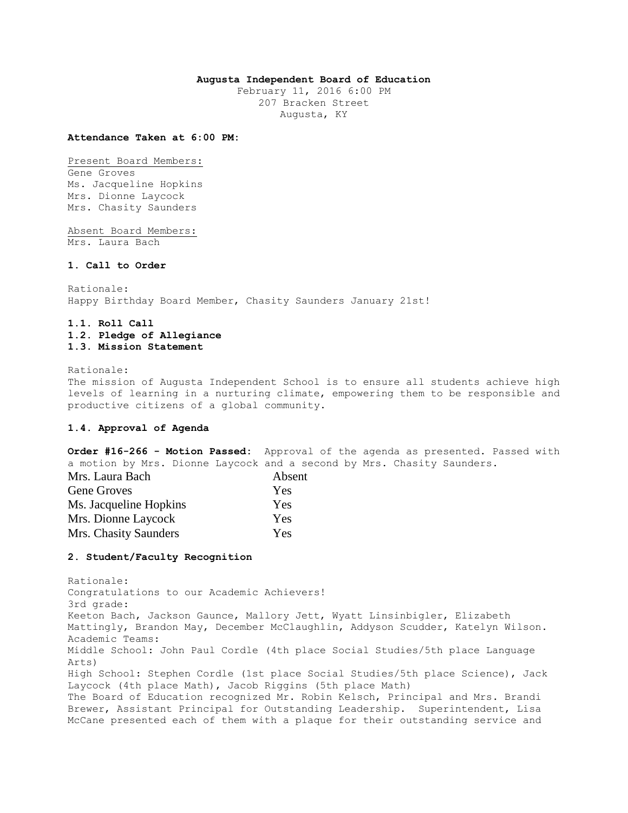# **Augusta Independent Board of Education**

February 11, 2016 6:00 PM 207 Bracken Street Augusta, KY

#### **Attendance Taken at 6:00 PM:**

Present Board Members: Gene Groves Ms. Jacqueline Hopkins Mrs. Dionne Laycock Mrs. Chasity Saunders

Absent Board Members: Mrs. Laura Bach

# **1. Call to Order**

Rationale: Happy Birthday Board Member, Chasity Saunders January 21st!

# **1.1. Roll Call 1.2. Pledge of Allegiance 1.3. Mission Statement**

Rationale:

The mission of Augusta Independent School is to ensure all students achieve high levels of learning in a nurturing climate, empowering them to be responsible and productive citizens of a global community.

# **1.4. Approval of Agenda**

**Order #16-266 - Motion Passed:** Approval of the agenda as presented. Passed with a motion by Mrs. Dionne Laycock and a second by Mrs. Chasity Saunders.

| Mrs. Laura Bach        | Absent |
|------------------------|--------|
| <b>Gene Groves</b>     | Yes    |
| Ms. Jacqueline Hopkins | Yes    |
| Mrs. Dionne Laycock    | Yes    |
| Mrs. Chasity Saunders  | Yes    |

### **2. Student/Faculty Recognition**

Rationale: Congratulations to our Academic Achievers! 3rd grade: Keeton Bach, Jackson Gaunce, Mallory Jett, Wyatt Linsinbigler, Elizabeth Mattingly, Brandon May, December McClaughlin, Addyson Scudder, Katelyn Wilson. Academic Teams: Middle School: John Paul Cordle (4th place Social Studies/5th place Language Arts) High School: Stephen Cordle (1st place Social Studies/5th place Science), Jack Laycock (4th place Math), Jacob Riggins (5th place Math) The Board of Education recognized Mr. Robin Kelsch, Principal and Mrs. Brandi Brewer, Assistant Principal for Outstanding Leadership. Superintendent, Lisa McCane presented each of them with a plaque for their outstanding service and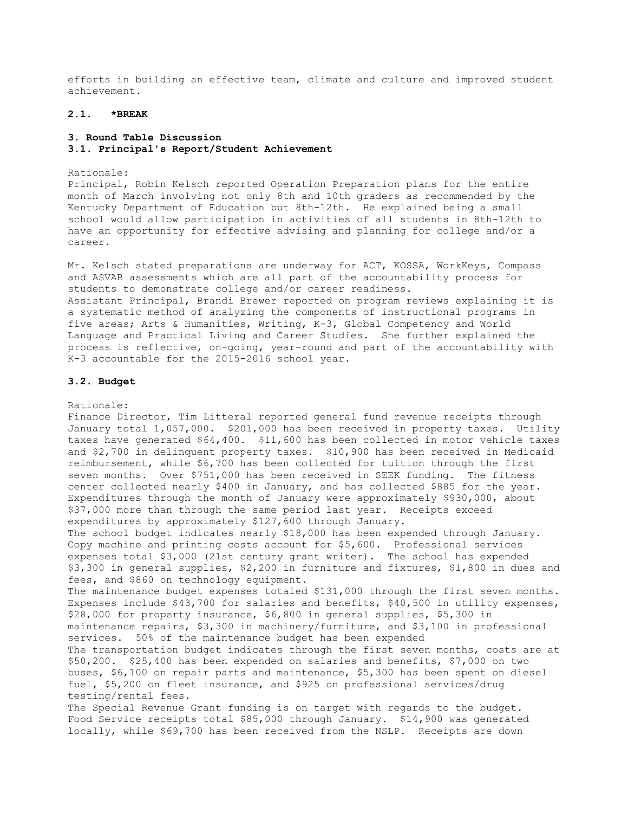efforts in building an effective team, climate and culture and improved student achievement.

# **2.1. \*BREAK**

#### **3. Round Table Discussion**

**3.1. Principal's Report/Student Achievement** 

#### Rationale:

Principal, Robin Kelsch reported Operation Preparation plans for the entire month of March involving not only 8th and 10th graders as recommended by the Kentucky Department of Education but 8th-12th. He explained being a small school would allow participation in activities of all students in 8th-12th to have an opportunity for effective advising and planning for college and/or a career.

Mr. Kelsch stated preparations are underway for ACT, KOSSA, WorkKeys, Compass and ASVAB assessments which are all part of the accountability process for students to demonstrate college and/or career readiness. Assistant Principal, Brandi Brewer reported on program reviews explaining it is a systematic method of analyzing the components of instructional programs in five areas; Arts & Humanities, Writing, K-3, Global Competency and World Language and Practical Living and Career Studies. She further explained the process is reflective, on-going, year-round and part of the accountability with K-3 accountable for the 2015-2016 school year.

#### **3.2. Budget**

### Rationale:

Finance Director, Tim Litteral reported general fund revenue receipts through January total 1,057,000. \$201,000 has been received in property taxes. Utility taxes have generated \$64,400. \$11,600 has been collected in motor vehicle taxes and \$2,700 in delinquent property taxes. \$10,900 has been received in Medicaid reimbursement, while \$6,700 has been collected for tuition through the first seven months. Over \$751,000 has been received in SEEK funding. The fitness center collected nearly \$400 in January, and has collected \$885 for the year. Expenditures through the month of January were approximately \$930,000, about \$37,000 more than through the same period last year. Receipts exceed expenditures by approximately \$127,600 through January. The school budget indicates nearly \$18,000 has been expended through January. Copy machine and printing costs account for \$5,600. Professional services expenses total \$3,000 (21st century grant writer). The school has expended \$3,300 in general supplies, \$2,200 in furniture and fixtures, \$1,800 in dues and fees, and \$860 on technology equipment. The maintenance budget expenses totaled \$131,000 through the first seven months. Expenses include \$43,700 for salaries and benefits, \$40,500 in utility expenses, \$28,000 for property insurance, \$6,800 in general supplies, \$5,300 in maintenance repairs, \$3,300 in machinery/furniture, and \$3,100 in professional services. 50% of the maintenance budget has been expended The transportation budget indicates through the first seven months, costs are at \$50,200. \$25,400 has been expended on salaries and benefits, \$7,000 on two buses, \$6,100 on repair parts and maintenance, \$5,300 has been spent on diesel fuel, \$5,200 on fleet insurance, and \$925 on professional services/drug testing/rental fees. The Special Revenue Grant funding is on target with regards to the budget.

Food Service receipts total \$85,000 through January. \$14,900 was generated locally, while \$69,700 has been received from the NSLP. Receipts are down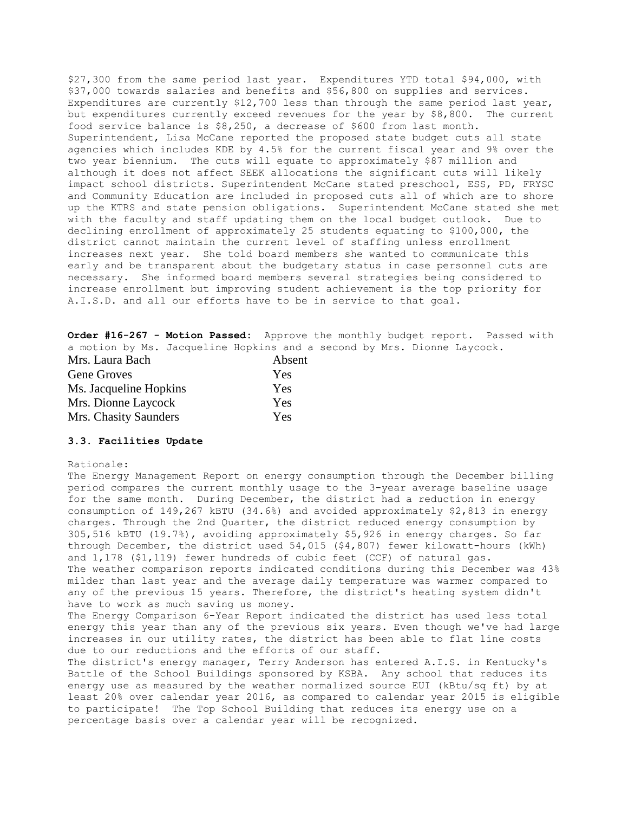\$27,300 from the same period last year. Expenditures YTD total \$94,000, with \$37,000 towards salaries and benefits and \$56,800 on supplies and services. Expenditures are currently \$12,700 less than through the same period last year, but expenditures currently exceed revenues for the year by \$8,800. The current food service balance is \$8,250, a decrease of \$600 from last month. Superintendent, Lisa McCane reported the proposed state budget cuts all state agencies which includes KDE by 4.5% for the current fiscal year and 9% over the two year biennium. The cuts will equate to approximately \$87 million and although it does not affect SEEK allocations the significant cuts will likely impact school districts. Superintendent McCane stated preschool, ESS, PD, FRYSC and Community Education are included in proposed cuts all of which are to shore up the KTRS and state pension obligations. Superintendent McCane stated she met with the faculty and staff updating them on the local budget outlook. Due to declining enrollment of approximately 25 students equating to \$100,000, the district cannot maintain the current level of staffing unless enrollment increases next year. She told board members she wanted to communicate this early and be transparent about the budgetary status in case personnel cuts are necessary. She informed board members several strategies being considered to increase enrollment but improving student achievement is the top priority for A.I.S.D. and all our efforts have to be in service to that goal.

**Order #16-267 - Motion Passed:** Approve the monthly budget report. Passed with a motion by Ms. Jacqueline Hopkins and a second by Mrs. Dionne Laycock.

| Mrs. Laura Bach        | Absent |
|------------------------|--------|
| <b>Gene Groves</b>     | Yes    |
| Ms. Jacqueline Hopkins | Yes    |
| Mrs. Dionne Laycock    | Yes    |
| Mrs. Chasity Saunders  | Yes    |

#### **3.3. Facilities Update**

### Rationale:

The Energy Management Report on energy consumption through the December billing period compares the current monthly usage to the 3-year average baseline usage for the same month. During December, the district had a reduction in energy consumption of 149,267 kBTU (34.6%) and avoided approximately \$2,813 in energy charges. Through the 2nd Quarter, the district reduced energy consumption by 305,516 kBTU (19.7%), avoiding approximately \$5,926 in energy charges. So far through December, the district used 54,015 (\$4,807) fewer kilowatt-hours (kWh) and 1,178 (\$1,119) fewer hundreds of cubic feet (CCF) of natural gas. The weather comparison reports indicated conditions during this December was 43% milder than last year and the average daily temperature was warmer compared to any of the previous 15 years. Therefore, the district's heating system didn't have to work as much saving us money.

The Energy Comparison 6-Year Report indicated the district has used less total energy this year than any of the previous six years. Even though we've had large increases in our utility rates, the district has been able to flat line costs due to our reductions and the efforts of our staff.

The district's energy manager, Terry Anderson has entered A.I.S. in Kentucky's Battle of the School Buildings sponsored by KSBA. Any school that reduces its energy use as measured by the weather normalized source EUI (kBtu/sq ft) by at least 20% over calendar year 2016, as compared to calendar year 2015 is eligible to participate! The Top School Building that reduces its energy use on a percentage basis over a calendar year will be recognized.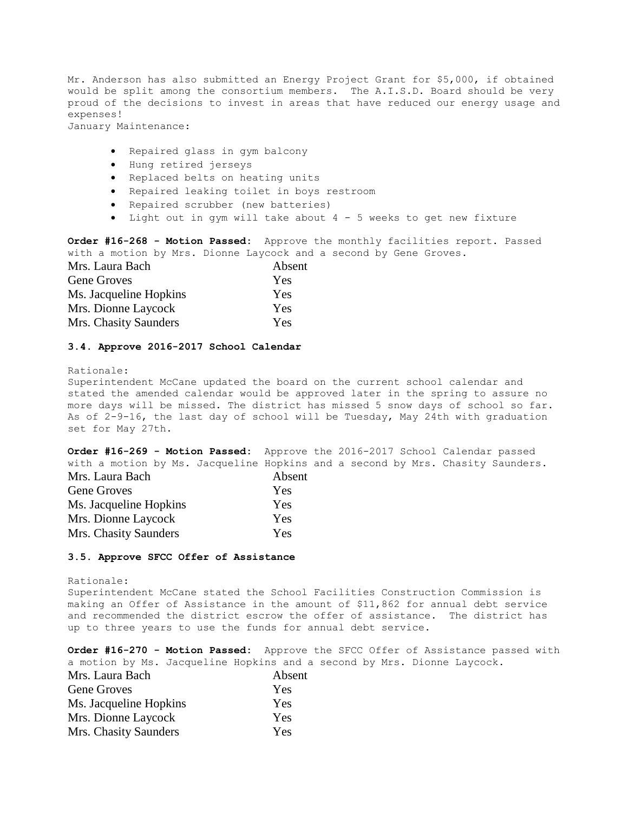Mr. Anderson has also submitted an Energy Project Grant for \$5,000, if obtained would be split among the consortium members. The A.I.S.D. Board should be very proud of the decisions to invest in areas that have reduced our energy usage and expenses!

January Maintenance:

- Repaired glass in gym balcony
- Hung retired jerseys
- Replaced belts on heating units
- Repaired leaking toilet in boys restroom
- Repaired scrubber (new batteries)
- Light out in gym will take about 4 5 weeks to get new fixture

**Order #16-268 - Motion Passed:** Approve the monthly facilities report. Passed with a motion by Mrs. Dionne Laycock and a second by Gene Groves.

| Mrs. Laura Bach        | Absent |
|------------------------|--------|
| <b>Gene Groves</b>     | Yes    |
| Ms. Jacqueline Hopkins | Yes    |
| Mrs. Dionne Laycock    | Yes    |
| Mrs. Chasity Saunders  | Yes    |

## **3.4. Approve 2016-2017 School Calendar**

Rationale:

Superintendent McCane updated the board on the current school calendar and stated the amended calendar would be approved later in the spring to assure no more days will be missed. The district has missed 5 snow days of school so far. As of 2-9-16, the last day of school will be Tuesday, May 24th with graduation set for May 27th.

**Order #16-269 - Motion Passed:** Approve the 2016-2017 School Calendar passed with a motion by Ms. Jacqueline Hopkins and a second by Mrs. Chasity Saunders. Mrs. Laura Bach Absent

| IVIIS. Lauia Dacii     | AUSC. |
|------------------------|-------|
| Gene Groves            | Yes   |
| Ms. Jacqueline Hopkins | Yes   |
| Mrs. Dionne Laycock    | Yes   |
| Mrs. Chasity Saunders  | Yes   |

# **3.5. Approve SFCC Offer of Assistance**

Rationale: Superintendent McCane stated the School Facilities Construction Commission is making an Offer of Assistance in the amount of \$11,862 for annual debt service and recommended the district escrow the offer of assistance. The district has up to three years to use the funds for annual debt service.

**Order #16-270 - Motion Passed:** Approve the SFCC Offer of Assistance passed with a motion by Ms. Jacqueline Hopkins and a second by Mrs. Dionne Laycock.

| Mrs. Laura Bach        | Absent |
|------------------------|--------|
| <b>Gene Groves</b>     | Yes    |
| Ms. Jacqueline Hopkins | Yes    |
| Mrs. Dionne Laycock    | Yes    |
| Mrs. Chasity Saunders  | Yes    |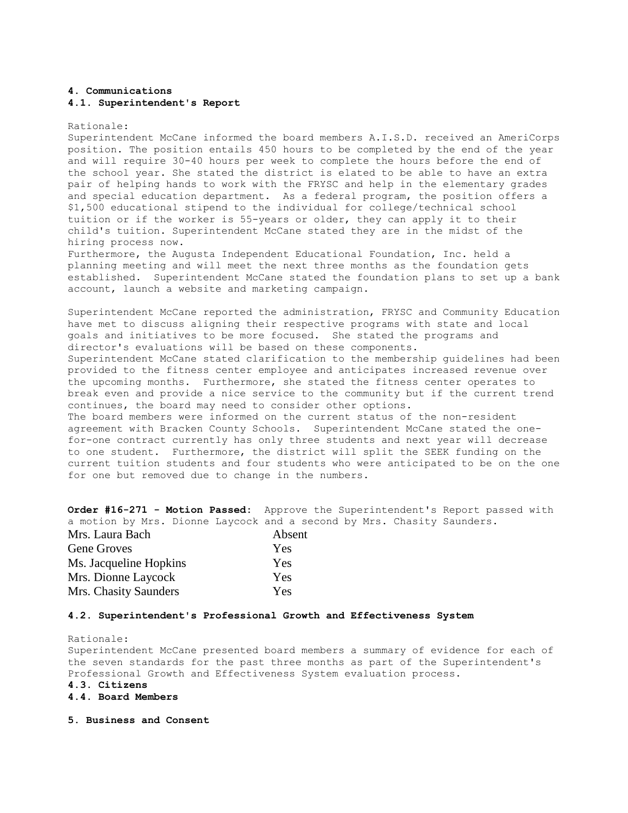# **4. Communications 4.1. Superintendent's Report**

#### Rationale:

Superintendent McCane informed the board members A.I.S.D. received an AmeriCorps position. The position entails 450 hours to be completed by the end of the year and will require 30-40 hours per week to complete the hours before the end of the school year. She stated the district is elated to be able to have an extra pair of helping hands to work with the FRYSC and help in the elementary grades and special education department. As a federal program, the position offers a \$1,500 educational stipend to the individual for college/technical school tuition or if the worker is 55-years or older, they can apply it to their child's tuition. Superintendent McCane stated they are in the midst of the hiring process now.

Furthermore, the Augusta Independent Educational Foundation, Inc. held a planning meeting and will meet the next three months as the foundation gets established. Superintendent McCane stated the foundation plans to set up a bank account, launch a website and marketing campaign.

Superintendent McCane reported the administration, FRYSC and Community Education have met to discuss aligning their respective programs with state and local goals and initiatives to be more focused. She stated the programs and director's evaluations will be based on these components. Superintendent McCane stated clarification to the membership guidelines had been provided to the fitness center employee and anticipates increased revenue over the upcoming months. Furthermore, she stated the fitness center operates to break even and provide a nice service to the community but if the current trend continues, the board may need to consider other options. The board members were informed on the current status of the non-resident agreement with Bracken County Schools. Superintendent McCane stated the onefor-one contract currently has only three students and next year will decrease to one student. Furthermore, the district will split the SEEK funding on the current tuition students and four students who were anticipated to be on the one for one but removed due to change in the numbers.

**Order #16-271 - Motion Passed:** Approve the Superintendent's Report passed with a motion by Mrs. Dionne Laycock and a second by Mrs. Chasity Saunders.

| Mrs. Laura Bach        | Absent |
|------------------------|--------|
| <b>Gene Groves</b>     | Yes    |
| Ms. Jacqueline Hopkins | Yes    |
| Mrs. Dionne Laycock    | Yes    |
| Mrs. Chasity Saunders  | Yes    |

#### **4.2. Superintendent's Professional Growth and Effectiveness System**

Rationale: Superintendent McCane presented board members a summary of evidence for each of the seven standards for the past three months as part of the Superintendent's Professional Growth and Effectiveness System evaluation process. **4.3. Citizens** 

- **4.4. Board Members**
- **5. Business and Consent**